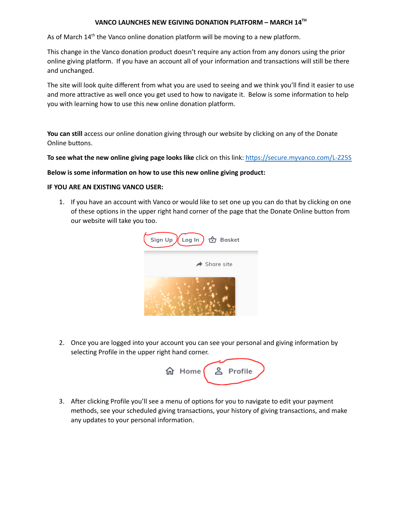## **VANCO LAUNCHES NEW EGIVING DONATION PLATFORM – MARCH 14 TH**

As of March 14<sup>th</sup> the Vanco online donation platform will be moving to a new platform.

This change in the Vanco donation product doesn't require any action from any donors using the prior online giving platform. If you have an account all of your information and transactions will still be there and unchanged.

The site will look quite different from what you are used to seeing and we think you'll find it easier to use and more attractive as well once you get used to how to navigate it. Below is some information to help you with learning how to use this new online donation platform.

**You can still** access our online donation giving through our website by clicking on any of the Donate Online buttons.

**To see what the new online giving page looks like** click on this link: <https://secure.myvanco.com/L-Z25S>

## **Below is some information on how to use this new online giving product:**

## **IF YOU ARE AN EXISTING VANCO USER:**

1. If you have an account with Vanco or would like to set one up you can do that by clicking on one of these options in the upper right hand corner of the page that the Donate Online button from our website will take you too.



2. Once you are logged into your account you can see your personal and giving information by selecting Profile in the upper right hand corner.



3. After clicking Profile you'll see a menu of options for you to navigate to edit your payment methods, see your scheduled giving transactions, your history of giving transactions, and make any updates to your personal information.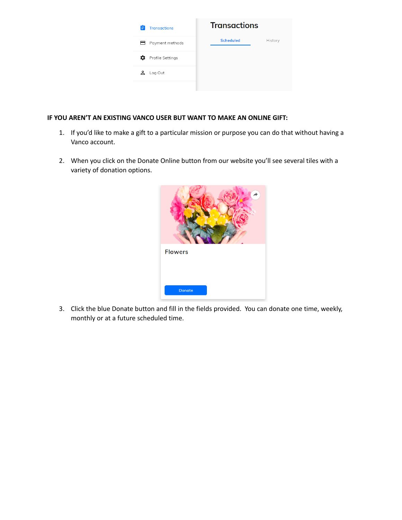

## **IF YOU AREN'T AN EXISTING VANCO USER BUT WANT TO MAKE AN ONLINE GIFT:**

- 1. If you'd like to make a gift to a particular mission or purpose you can do that without having a Vanco account.
- 2. When you click on the Donate Online button from our website you'll see several tiles with a variety of donation options.



3. Click the blue Donate button and fill in the fields provided. You can donate one time, weekly, monthly or at a future scheduled time.